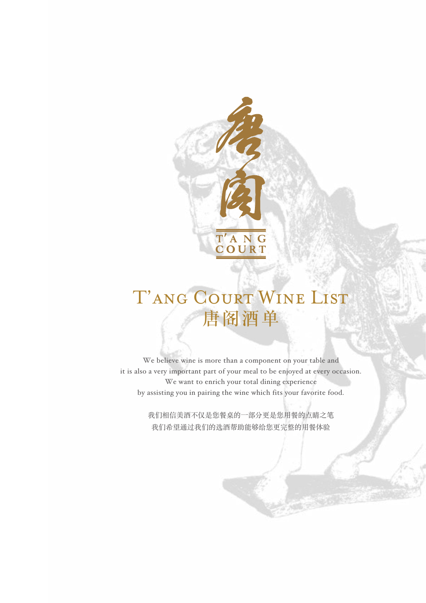

# T'ANG COURT WINE LIST 唐阁酒单

We believe wine is more than a component on your table and it is also a very important part of your meal to be enjoyed at every occasion. We want to enrich your total dining experience by assisting you in pairing the wine which fits your favorite food.

> 我们相信美酒不仅是您餐桌的一部分更是您用餐的点睛之笔 我们希望通过我们的选酒帮助能够给您更完整的用餐体验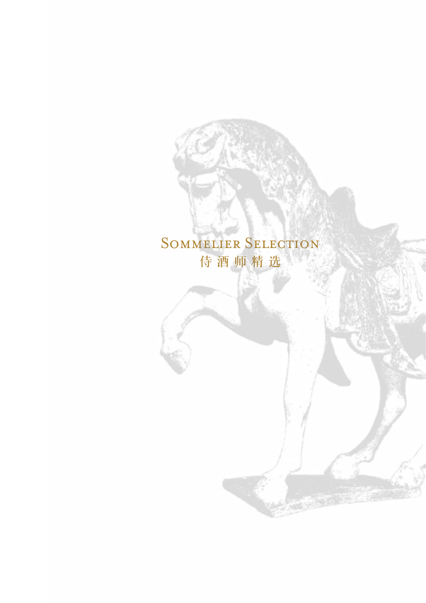## SOMMELIER SELECTION 侍 酒 师 精 选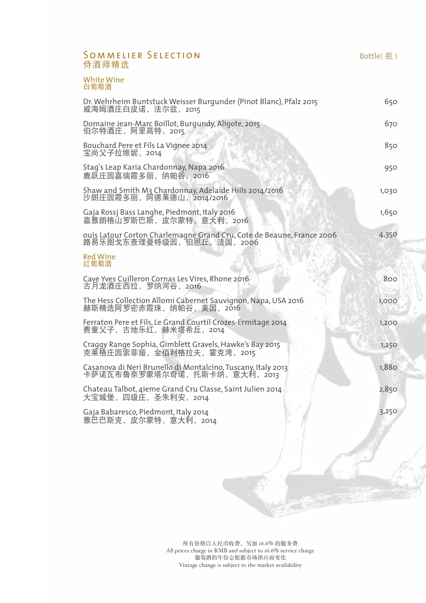#### SOMMELIER SELECTION 侍酒师精选

White Wine 白葡萄酒

| Dr. Wehrheim Buntstuck Weisser Burgunder (Pinot Blanc), Pfalz 2015<br>威海姆酒庄白皮诺,法尔兹,2015              | 650   |
|------------------------------------------------------------------------------------------------------|-------|
| Domaine Jean-Marc Boillot, Burgundy, Aligote, 2015<br>伯尔特酒庄, 阿里高特, 2015                              | 670   |
| Bouchard Pere et Fils La Vignee 2014<br>宝尚父子拉维妮,2014                                                 | 850   |
| Stag's Leap Karia Chardonnay, Napa 2016<br>鹿跃庄园嘉瑞霞多丽, 纳帕谷, 2016                                      | 950   |
| Shaw and Smith M3 Chardonnay, Adelaide Hills 2014/2016<br>沙朗庄园霞多丽,阿德莱德山,2014/2016                    | 1,030 |
| Gaja Rossj Bass Langhe, Piedmont, Italy 2016<br>嘉雅朗格山罗斯巴斯, 皮尔蒙特, 意大利, 2016                           | 1,650 |
| ouis Latour Corton Charlemagne Grand Cru, Cote de Beaune, France 2006<br>路易乐图戈东查理曼特级园, 伯恩丘, 法国, 2006 | 4,350 |
| <b>Red Wine</b><br>红葡萄酒                                                                              |       |
| Cave Yves Cuilleron Cornas Les Vires, Rhone 2016<br>古月龙酒庄西拉, 罗纳河谷, 2016                              | 800   |
| The Hess Collection Allomi Cabernet Sauvignon, Napa, USA 2016<br>赫斯精选阿罗密赤霞珠, 纳帕谷, 美国, 2016           | 1,000 |
| Ferraton Pere et Fils, Le Grand Courtil Crozes-Ermitage 2014<br>费童父子,古地乐红,赫米塔希丘,2014                 | 1,200 |
| Craggy Range Sophia, Gimblett Gravels, Hawke's Bay 2015<br>克莱格庄园索菲娅,金佰利格拉夫,霍克湾,2015                  | 1,250 |
| Casanova di Neri Brunello di Montalcino, Tuscany, Italy 2013<br>卡萨诺瓦布鲁奈罗蒙塔尔奇诺, 托斯卡纳, 意大利, 2013       | 1,880 |
| Chateau Talbot, 4ieme Grand Cru Classe, Saint Julien 2014<br>大宝城堡, 四级庄, 圣朱利安, 2014                   | 2,850 |
| Gaja Babaresco, Piedmont, Italy 2014<br>雅巴巴斯克,皮尔蒙特,意大利,2014                                          | 3,250 |
|                                                                                                      |       |
|                                                                                                      |       |

所有价格以人民币收费,另加 16.6% 的服务费 All prices charge in RMB and subject to 16.6% service charge 葡萄酒的年份会根据市场供应而变化 Vintage change is subject to the market availability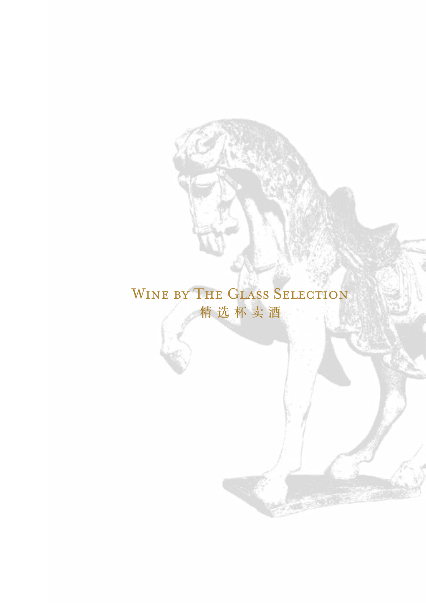### WINE BY THE GLASS SELECTION 精 选 杯 卖 酒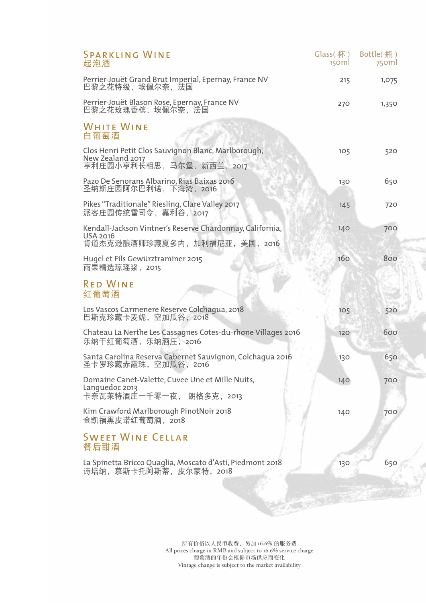| <b>SPARKLING WINE</b><br>起泡酒                                                                            | Glass(杯)<br>150ml | Bottle(瓶)<br>750ml |  |
|---------------------------------------------------------------------------------------------------------|-------------------|--------------------|--|
| Perrier-Jouët Grand Brut Imperial, Epernay, France NV<br>巴黎之花特级,埃佩尔奈,法国                                 | 215               | 1,075              |  |
| Perrier-Jouët Blason Rose, Epernay, France NV<br>巴黎之花玫瑰香槟,埃佩尔奈, 法国                                      | 270               | 1,350              |  |
| <b>WHITE WINE</b><br>白葡萄酒                                                                               |                   |                    |  |
| Clos Henri Petit Clos Sauvignon Blanc, Marlborough,<br>New Zealand 2017<br>亨利庄园小亨利长相思,马尔堡,新西兰,2017      | 105               | 520                |  |
| Pazo De Senorans Albarino, Rias Baixas 2016<br>圣纳斯庄园阿尔巴利诺,下海湾,2016                                      | 130               | 650                |  |
| Pikes "Traditionale" Riesling, Clare Valley 2017<br>派客庄园传统雷司令, 嘉利谷, 2017                                | 145               | 720                |  |
| Kendall-Jackson Vintner's Reserve Chardonnay, California,<br>USA 2016<br>肯道杰克逊酿酒师珍藏夏多内, 加利福尼亚, 美国, 2016 | 140               | 700                |  |
| Hugel et Fils Gewürztraminer 2015<br>雨果精选琼瑶浆,2015                                                       | 160               | 800                |  |
| <b>RED WINE</b><br>红葡萄酒                                                                                 |                   |                    |  |
| Los Vascos Carmenere Reserve Colchagua, 2018<br>巴斯克珍藏卡麦妮,空加瓜谷,2018                                      | 10 <sub>5</sub>   | 520                |  |
| Chateau La Nerthe Les Cassagnes Cotes-du-rhone Villages 2016<br>乐纳干红葡萄酒,乐纳酒庄,2016                       | 120               | 600                |  |
| Santa Carolina Reserva Cabernet Sauvignon, Colchagua 2016<br>圣卡罗珍藏赤霞珠,空加瓜谷,2016                         | 130               | 650                |  |
| Domaine Canet-Valette, Cuvee Une et Mille Nuits,<br>Languedoc 2013<br>卡奈瓦莱特酒庄一千零一夜, 朗格多克, 2013          | 140               | 700                |  |
| Kim Crawford Marlborough PinotNoir 2018<br>金凯福黑皮诺红葡萄酒, 2018                                             | 140               | 700                |  |
| <b>SWEET WINE CELLAR</b><br>餐后甜酒                                                                        |                   |                    |  |
| La Spinetta Bricco Quaglia, Moscato d'Asti, Piedmont 2018<br>诗培纳, 慕斯卡托阿斯蒂, 皮尔蒙特, 2018                   | 130               | 650                |  |

所有价格以人民币收费,另加 16.6% 的服务费 All prices charge in RMB and subject to 16.6% service charge 葡萄酒的年份会根据市场供应而变化 Vintage change is subject to the market availability

CE STAN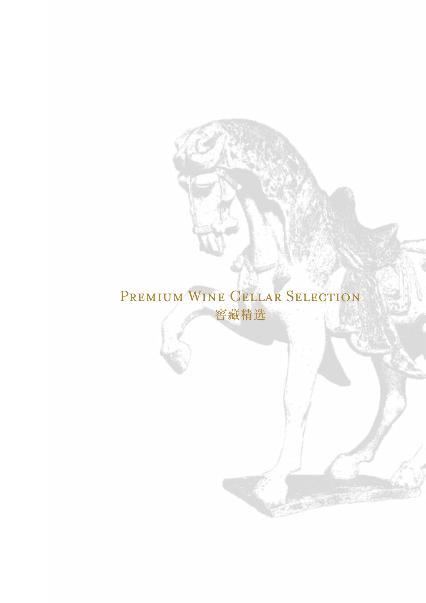## PREMIUM WINE CELLAR SELECTION 窖藏精选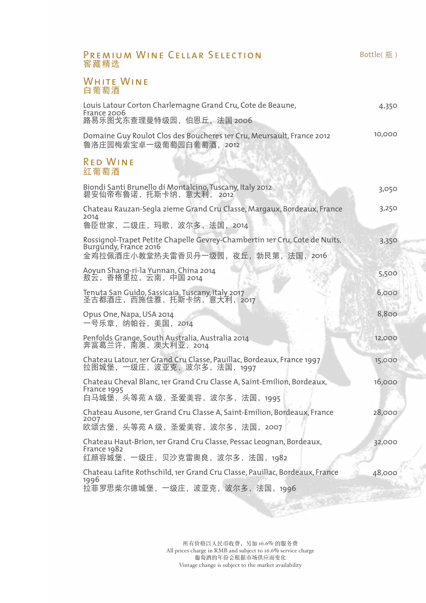| PREMIUM WINE CELLAR SELECTION<br>窖藏精选                                                                                                        | Bottle(瓶) |
|----------------------------------------------------------------------------------------------------------------------------------------------|-----------|
| <b>WHITE WINE</b><br>白葡萄酒                                                                                                                    |           |
| Louis Latour Corton Charlemagne Grand Cru, Cote de Beaune,<br>France 2006<br>路易乐图戈东查理曼特级园, 伯恩丘, 法国 2006                                      | 4,350     |
| Domaine Guy Roulot Clos des Boucheres 1er Cru, Meursault, France 2012<br>鲁洛庄园梅索宝卓一级葡萄园白葡萄酒, 2012                                             | 10,000    |
| <b>RED WINE</b><br>红葡萄酒                                                                                                                      |           |
| Biondi Santi Brunello di Montalcino, Tuscany, Italy 2012<br>碧安仙帝布鲁诺, 托斯卡纳, 意大利, 2012                                                         | 3,050     |
| Chateau Rauzan-Segla zieme Grand Cru Classe, Margaux, Bordeaux, France<br>2014<br>鲁臣世家,二级庄,玛歌,波尔多,法国,2014                                    | 3,250     |
| Rossignol-Trapet Petite Chapelle Gevrey-Chambertin 1er Cru, Cote de Nuits,<br>Burgundy, France 2016<br>金鸡拉佩酒庄小教堂热夫雷香贝丹一级园, 夜丘, 勃艮第, 法国, 2016 | 3,350     |
| Aoyun Shang-ri-la Yunnan, China 2014<br>敖云,香格里拉,云南,中国 2014                                                                                   | 5,500     |
| Tenuta San Guido, Sassicaia, Tuscany, Italy 2017<br>圣古都酒庄,西施佳雅,托斯卡纳,意大利,2017                                                                 | 6,000     |
| Opus One, Napa, USA 2014<br>一号乐章, 纳帕谷, 美国, 2014                                                                                              | 8,800     |
| Penfolds Grange, South Australia, Australia 2014<br>奔富葛兰许,南澳,澳大利亚,2014                                                                       | 12,000    |
| Chateau Latour, 1er Grand Cru Classe, Pauillac, Bordeaux, France 1997<br>拉图城堡,一级庄,波亚克,波尔多,法国,1997                                            | 15,000    |
| Chateau Cheval Blanc, 1er Grand Cru Classe A, Saint-Emilion, Bordeaux,<br>France 1995<br>白马城堡,头等苑 A 级,圣爱美容,波尔多,法国,1995                       | 16,000    |
| Chateau Ausone, 1er Grand Cru Classe A, Saint-Emilion, Bordeaux, France<br>2007<br>欧颂古堡, 头等苑 A 级, 圣爱美容, 波尔多, 法国, 2007                        | 28,000    |
| Chateau Haut-Brion, 1er Grand Cru Classe, Pessac Leognan, Bordeaux,<br>France 1982<br>红颜容城堡,一级庄,贝沙克雷奥良,波尔多,法国,1982                           | 32,000    |
| Chateau Lafite Rothschild, 1er Grand Cru Classe, Pauillac, Bordeaux, France<br>1996<br>拉菲罗思柴尔德城堡,一级庄,波亚克,波尔多,法国,1996                         | 48,000    |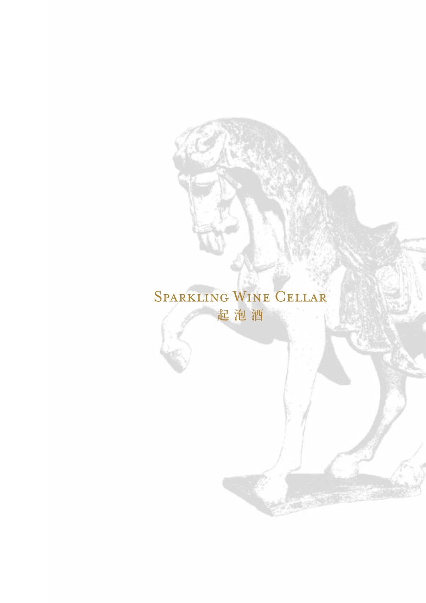### Sparkling Wine Cellar 起 泡 酒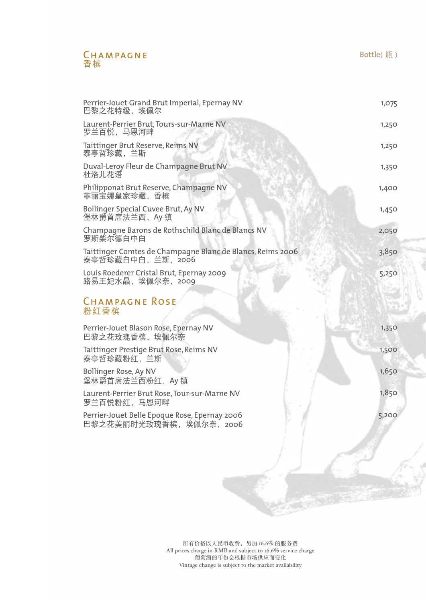#### CHAMPAGNE 香槟

| Perrier-Jouet Grand Brut Imperial, Epernay NV<br>巴黎之花特级,埃佩尔                    | 1,075 |
|--------------------------------------------------------------------------------|-------|
| Laurent-Perrier Brut, Tours-sur-Marne NV<br>罗兰百悦,马恩河畔                          | 1,250 |
| Taittinger Brut Reserve, Reims NV<br>泰亭哲珍藏,兰斯                                  | 1,250 |
| Duval-Leroy Fleur de Champagne Brut NV<br>杜洛儿花语                                | 1,350 |
| Philipponat Brut Reserve, Champagne NV<br>菲丽宝娜皇家珍藏,香槟                          | 1,400 |
| Bollinger Special Cuvee Brut, Ay NV<br>堡林爵首席法兰西,Ay 镇                           | 1,450 |
| Champagne Barons de Rothschild Blanc de Blancs NV<br>罗斯柴尔德白中白                  | 2,050 |
| Taittinger Comtes de Champagne Blanc de Blancs, Reims 2006<br>泰亭哲珍藏白中白,兰斯,2006 | 3,850 |
| Louis Roederer Cristal Brut, Epernay 2009<br>路易王妃水晶,埃佩尔奈,2009                  | 5,250 |
| <b>CHAMPAGNE ROSE</b><br>粉红香槟                                                  |       |
| Perrier-Jouet Blason Rose, Epernay NV<br>巴黎之花玫瑰香槟,埃佩尔奈                         | 1,350 |
| Taittinger Prestige Brut Rose, Reims NV<br>泰亭哲珍藏粉红, 兰斯                         | 1,500 |
| Bollinger Rose, Ay NV<br>堡林爵首席法兰西粉红,Ay 镇                                       | 1,650 |
| Laurent-Perrier Brut Rose, Tour-sur-Marne NV<br>罗兰百悦粉红,马恩河畔                    | 1,850 |
| Perrier-Jouet Belle Epoque Rose, Epernay 2006<br>巴黎之花美丽时光玫瑰香槟,埃佩尔奈, 2006       | 5,200 |
|                                                                                |       |
|                                                                                |       |
|                                                                                |       |
|                                                                                |       |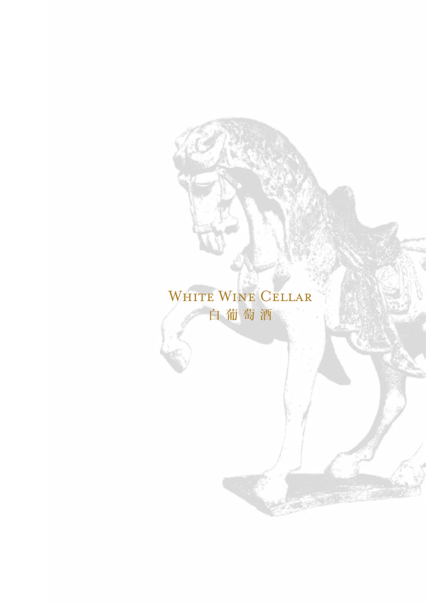### WHITE WINE CELLAR 白 葡 萄 酒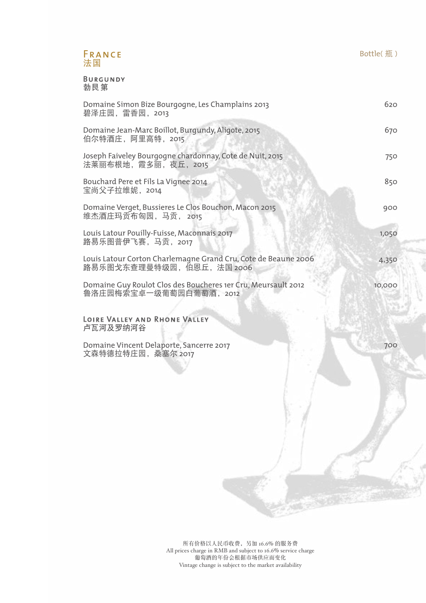#### FRANCE 法国

Burgundy 勃艮第

| Domaine Simon Bize Bourgogne, Les Champlains 2013<br>碧泽庄园,雷香园,2013                           | 620    |
|----------------------------------------------------------------------------------------------|--------|
| Domaine Jean-Marc Boillot, Burgundy, Aligote, 2015<br>伯尔特酒庄,阿里高特,2015                        | 670    |
| Joseph Faiveley Bourgogne chardonnay, Cote de Nuit, 2015<br>法莱丽布根地,霞多丽,夜丘,2015               | 750    |
| Bouchard Pere et Fils La Vignee 2014<br>宝尚父子拉维妮,2014                                         | 850    |
| Domaine Verget, Bussieres Le Clos Bouchon, Macon 2015<br>维杰酒庄玛贡布匈园, 马贡, 2015                 | 900    |
| Louis Latour Pouilly-Fuisse, Maconnais 2017<br>路易乐图普伊飞赛, 马贡, 2017                            | 1,050  |
| Louis Latour Corton Charlemagne Grand Cru, Cote de Beaune 2006<br>路易乐图戈东查理曼特级园, 伯恩丘, 法国 2006 | 4,350  |
| Domaine Guy Roulot Clos des Boucheres 1er Cru, Meursault 2012<br>鲁洛庄园梅索宝卓一级葡萄园白葡萄酒, 2012     | 10,000 |
| LOIRE VALLEY AND RHONE VALLEY<br>卢瓦河及罗纳河谷                                                    |        |

Domaine Vincent Delaporte, Sancerre 2017 文森特德拉特庄园,桑塞尔 2017

700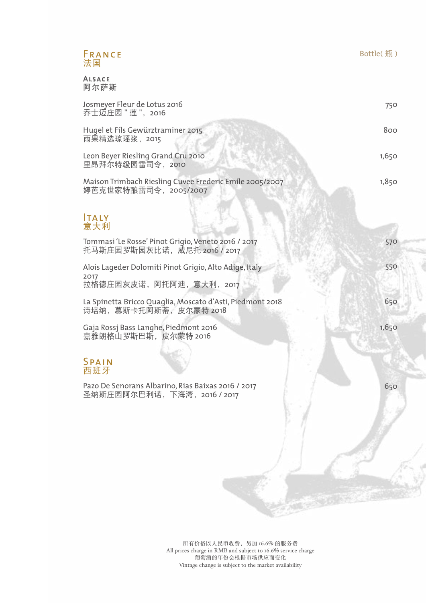#### FRANCE 法国

Alsace 阿尔萨斯

| Josmeyer Fleur de Lotus 2016<br>乔士迈庄园 " 莲 ",2016                                         | 750   |
|------------------------------------------------------------------------------------------|-------|
| Hugel et Fils Gewürztraminer 2015<br>雨果精选琼瑶浆,2015                                        | 800   |
| Leon Beyer Riesling Grand Cru 2010<br>里昂拜尔特级园雷司令,2010                                    | 1,650 |
| Maison Trimbach Riesling Cuvee Frederic Emile 2005/2007<br>婷芭克世家特酿雷司令,2005/2007          | 1,850 |
| lTA LY<br>意大利                                                                            |       |
| Tommasi 'Le Rosse' Pinot Grigio, Veneto 2016 / 2017<br>托马斯庄园罗斯园灰比诺,威尼托 2016 / 2017       | 570   |
| Alois Lageder Dolomiti Pinot Grigio, Alto Adige, Italy<br>2017<br>拉格德庄园灰皮诺,阿托阿迪,意大利,2017 | 550   |
| La Spinetta Bricco Quaglia, Moscato d'Asti, Piedmont 2018<br>诗培纳,慕斯卡托阿斯蒂,皮尔蒙特 2018       | 650   |
| Gaja Rossj Bass Langhe, Piedmont 2016<br>嘉雅朗格山罗斯巴斯,皮尔蒙特 2016                             | 1,650 |
| SPAIN<br>西班牙                                                                             |       |
| Pazo De Senorans Albarino, Rias Baixas 2016 / 2017<br>圣纳斯庄园阿尔巴利诺,下海湾,2016 / 2017         | 650   |
|                                                                                          |       |
|                                                                                          |       |
|                                                                                          |       |

所有价格以人民币收费,另加 16.6% 的服务费 All prices charge in RMB and subject to 16.6% service charge 葡萄酒的年份会根据市场供应而变化 Vintage change is subject to the market availability

 $-35.55$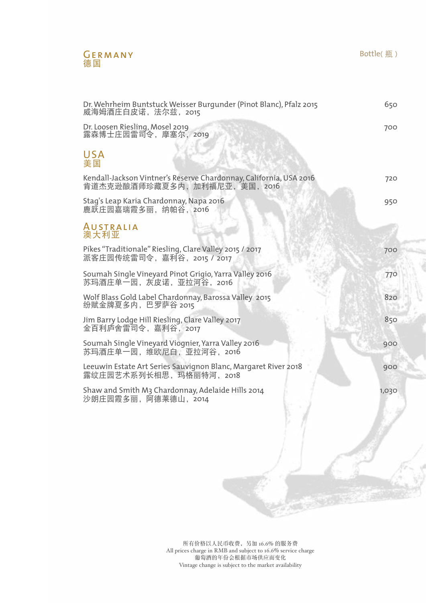#### GERMANY 德国

Bottle(瓶)

| Dr. Wehrheim Buntstuck Weisser Burgunder (Pinot Blanc), Pfalz 2015<br>威海姆酒庄白皮诺, 法尔兹, 2015         | 650   |
|---------------------------------------------------------------------------------------------------|-------|
| Dr. Loosen Riesling, Mosel 2019<br>露森博士庄园雷司令,摩塞尔,2019                                             | 700   |
| <b>USA</b><br>美国                                                                                  |       |
| Kendall-Jackson Vintner's Reserve Chardonnay, California, USA 2016<br>肯道杰克逊酿酒师珍藏夏多内,加利福尼亚,美国,2016 | 720   |
| Stag's Leap Karia Chardonnay, Napa 2016<br>鹿跃庄园嘉瑞霞多丽, 纳帕谷, 2016                                   | 950   |
| <b>AUSTRALIA</b><br>澳大利亚                                                                          |       |
| Pikes "Traditionale" Riesling, Clare Valley 2015 / 2017<br>派客庄园传统雷司令, 嘉利谷, 2015 / 2017            | 700   |
| Soumah Single Vineyard Pinot Grigio, Yarra Valley 2016<br>苏玛酒庄单一园,灰皮诺,亚拉河谷,2016                   | 770   |
| Wolf Blass Gold Label Chardonnay, Barossa Valley 2015<br>纷赋金牌夏多内,巴罗萨谷 2015                        | 820   |
| Jim Barry Lodge Hill Riesling, Clare Valley 2017<br>金百利庐舍雷司令, 嘉利谷, 2017                           | 850   |
| Soumah Single Vineyard Viognier, Yarra Valley 2016<br>苏玛酒庄单一园,维欧尼白,亚拉河谷,2016                      | 900   |
| Leeuwin Estate Art Series Sauvignon Blanc, Margaret River 2018<br>露纹庄园艺术系列长相思, 玛格丽特河, 2018        | 900   |
| Shaw and Smith M3 Chardonnay, Adelaide Hills 2014<br>沙朗庄园霞多丽, 阿德莱德山, 2014                         | 1,030 |
|                                                                                                   |       |
|                                                                                                   |       |
|                                                                                                   |       |
|                                                                                                   |       |
|                                                                                                   |       |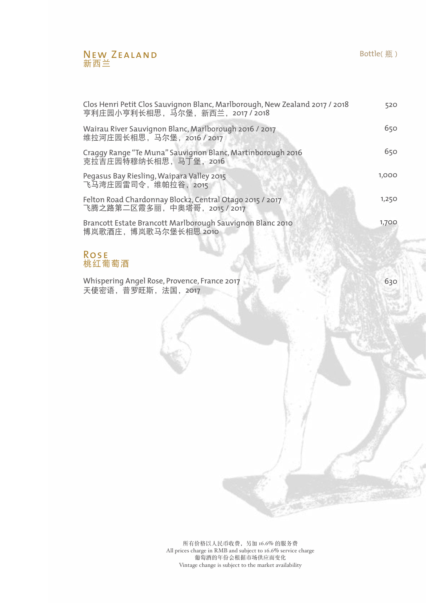#### New ZEALAND 新西兰

| Clos Henri Petit Clos Sauvignon Blanc, Marlborough, New Zealand 2017 / 2018<br>亨利庄园小亨利长相思,马尔堡,新西兰,2017 / 2018 | 520   |
|---------------------------------------------------------------------------------------------------------------|-------|
| Wairau River Sauvignon Blanc, Marlborough 2016 / 2017<br>维拉河庄园长相思,马尔堡,2016 / 2017                             | 650   |
| Craggy Range "Te Muna" Sauvignon Blanc, Martinborough 2016<br>克拉吉庄园特穆纳长相思,马丁堡,2016                            | 650   |
| Pegasus Bay Riesling, Waipara Valley 2015<br>飞马湾庄园雷司令,维帕拉谷, 2015                                              | 1,000 |
| Felton Road Chardonnay Block2, Central Otago 2015 / 2017<br>飞腾之路第二区霞多丽,中奥塔哥,2015 / 2017                       | 1,250 |
| Brancott Estate Brancott Marlborough Sauvignon Blanc 2010<br>博岚歌酒庄,博岚歌马尔堡长相思 2010                             | 1,700 |
|                                                                                                               |       |

#### Rose 桃红葡萄酒

Whispering Angel Rose, Provence, France 2017 天使密语,普罗旺斯,法国,2017

630

所有价格以人民币收费,另加 16.6% 的服务费 All prices charge in RMB and subject to 16.6% service charge 葡萄酒的年份会根据市场供应而变化 Vintage change is subject to the market availability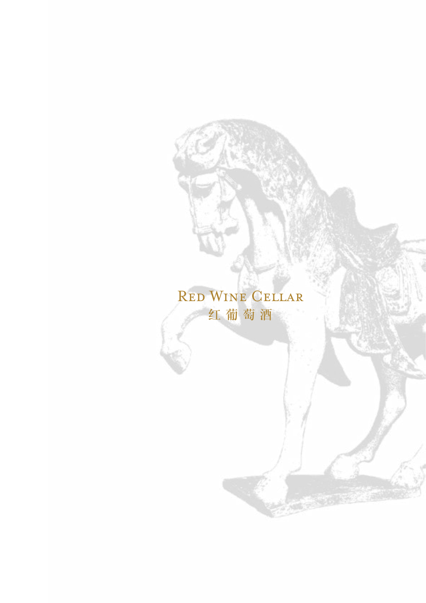### Red Wine Cellar 红 葡 萄 酒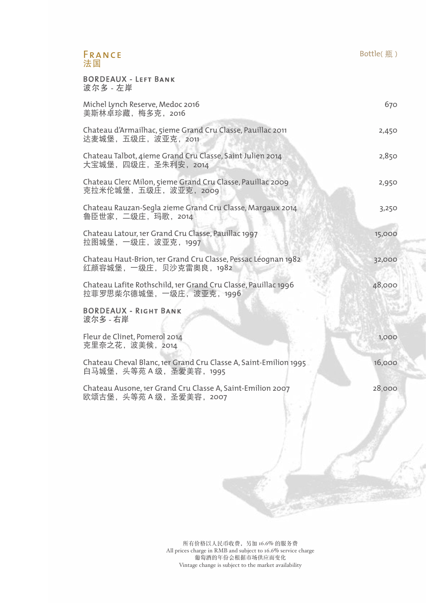#### FRANCE 法国

#### BORDEAUX - Left Bank 波尔多 - 左岸

| Michel Lynch Reserve, Medoc 2016<br>美斯林卓珍藏, 梅多克, 2016                                         | 670    |
|-----------------------------------------------------------------------------------------------|--------|
| Chateau d'Armailhac, 5ieme Grand Cru Classe, Pauillac 2011<br>达麦城堡,五级庄,波亚克, 2011              | 2,450  |
| Chateau Talbot, 4ieme Grand Cru Classe, Saint Julien 2014<br>大宝城堡,四级庄,圣朱利安,2014               | 2,850  |
| Chateau Clerc Milon, 5ieme Grand Cru Classe, Pauillac 2009<br>克拉米伦城堡,五级庄,波亚克,2009             | 2,950  |
| Chateau Rauzan-Segla zieme Grand Cru Classe, Margaux 2014<br>鲁臣世家,二级庄,玛歌,2014                 | 3,250  |
| Chateau Latour, 1er Grand Cru Classe, Pauillac 1997<br>拉图城堡,一级庄,波亚克,1997                      | 15,000 |
| Chateau Haut-Brion, 1er Grand Cru Classe, Pessac Léognan 1982<br>红颜容城堡,一级庄,贝沙克雷奥良,1982        | 32,000 |
| Chateau Lafite Rothschild, 1er Grand Cru Classe, Pauillac 1996<br>拉菲罗思柴尔德城堡, 一级庄, 波亚克, 1996   | 48,000 |
| <b>BORDEAUX - RIGHT BANK</b><br>波尔多 - 右岸                                                      |        |
| Fleur de Clinet, Pomerol 2014<br>克里奈之花, 波美候, 2014                                             | 1,000  |
| Chateau Cheval Blanc, 1er Grand Cru Classe A, Saint-Emilion 1995<br>白马城堡, 头等苑 A 级, 圣爱美容, 1995 | 16,000 |
| Chateau Ausone, 1er Grand Cru Classe A, Saint-Emilion 2007<br>欧颂古堡, 头等苑 A 级, 圣爱美容, 2007       | 28,000 |
|                                                                                               |        |

Bottle(瓶)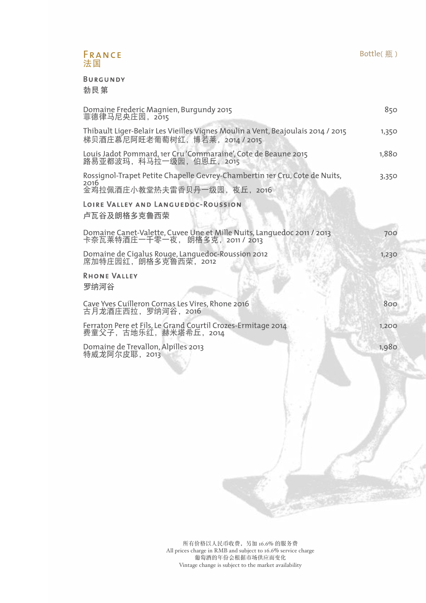#### FRANCE 法国

Burgundy

勃艮第

| Domaine Frederic Magnien, Burgundy 2015<br>菲德律马尼央庄园,2015                                                                                                                 | 850   |
|--------------------------------------------------------------------------------------------------------------------------------------------------------------------------|-------|
| Thibault Liger-Belair Les Vieilles Vignes Moulin a Vent, Beajoulais 2014 / 2015<br>梯贝酒庄慕尼阿旺老葡萄树红, 博若莱, 2014 / 2015                                                       | 1,350 |
| Louis Jadot Pommard, 1er Cru 'Commaraine', Cote de Beaune 2015<br>路易亚都波玛,科马拉一级园,伯恩丘,2015                                                                                 | 1,880 |
| Rossignol-Trapet Petite Chapelle Gevrey-Chambertin 1er Cru, Cote de Nuits,<br>2016<br>金鸡拉佩酒庄小教堂热夫雷香贝丹一级园, 夜丘, 2016<br>LOIRE VALLEY AND LANGUEDOC-ROUSSION<br>卢瓦谷及朗格多克鲁西荣 | 3,350 |
| Domaine Canet-Valette, Cuvee Une et Mille Nuits, Languedoc 2011 / 2013<br>卡奈瓦莱特酒庄一千零一夜, 朗格多克,2011 / 2013                                                                 | 700   |
| Domaine de Cigalus Rouge, Languedoc-Roussion 2012<br>席加特庄园红,朗格多克鲁西荣,2012                                                                                                 | 1,230 |
| <b>RHONE VALLEY</b><br>罗纳河谷                                                                                                                                              |       |
| Cave Yves Cuilleron Cornas Les Vires, Rhone 2016<br>古月龙酒庄西拉, 罗纳河谷, 2016                                                                                                  | 800   |
| Ferraton Pere et Fils, Le Grand Courtil Crozes-Ermitage 2014<br>费童父子,古地乐红,赫米塔希丘,2014                                                                                     | 1,200 |
| Domaine de Trevallon, Alpilles 2013<br>特威龙阿尔皮耶, 2013                                                                                                                     | 1,980 |
|                                                                                                                                                                          |       |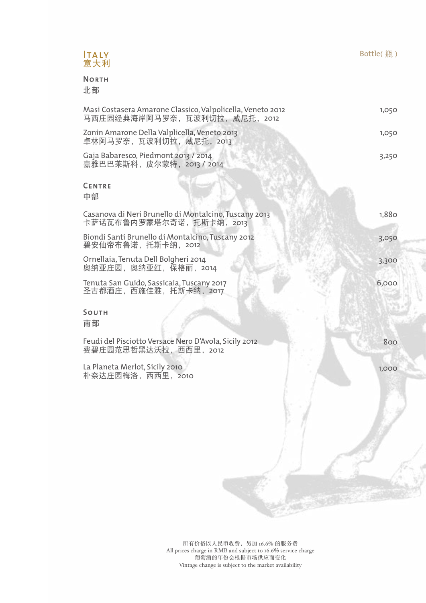#### Italy 意大利

#### **NORTH**

北部

| Masi Costasera Amarone Classico, Valpolicella, Veneto 2012<br>马西庄园经典海岸阿马罗奈,瓦波利切拉,威尼托, 2012 | 1,050 |
|--------------------------------------------------------------------------------------------|-------|
| Zonin Amarone Della Valplicella, Veneto 2013<br>卓林阿马罗奈, 瓦波利切拉, 威尼托, 2013                   | 1,050 |
| Gaja Babaresco, Piedmont 2013 / 2014<br>嘉雅巴巴莱斯科, 皮尔蒙特, 2013 / 2014                         | 3,250 |
| <b>CENTRE</b><br>中部                                                                        |       |
| Casanova di Neri Brunello di Montalcino, Tuscany 2013<br>卡萨诺瓦布鲁内罗蒙塔尔奇诺, 托斯卡纳, 2013         | 1,880 |
| Biondi Santi Brunello di Montalcino, Tuscany 2012<br>碧安仙帝布鲁诺, 托斯卡纳, 2012                   | 3,050 |
| Ornellaia, Tenuta Dell Bolgheri 2014<br>奥纳亚庄园, 奥纳亚红, 保格丽, 2014                             | 3,300 |
| Tenuta San Guido, Sassicaia, Tuscany 2017<br>圣古都酒庄, 西施佳雅, 托斯卡纳, 2017                       | 6,000 |
| SOUTH<br>南部                                                                                |       |
| Feudi del Pisciotto Versace Nero D'Avola, Sicily 2012<br>费碧庄园范思哲黑达沃拉, 西西里, 2012            | 800   |
| La Planeta Merlot, Sicily 2010<br>朴奈达庄园梅洛,西西里,2010                                         | 1,000 |
|                                                                                            |       |
|                                                                                            |       |
|                                                                                            |       |

所有价格以人民币收费,另加 16.6% 的服务费 All prices charge in RMB and subject to 16.6% service charge 葡萄酒的年份会根据市场供应而变化 Vintage change is subject to the market availability

7an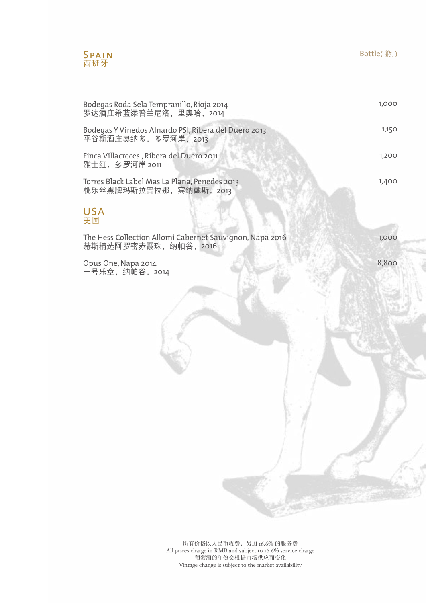

USA 美国

Bodegas Roda Sela Tempranillo, Rioja 2014 罗达酒庄希蓝添普兰尼洛,里奥哈, 2014 Bodegas Y Vinedos Alnardo PSI, Ribera del Duero 2013 平谷斯酒庄奥纳多, 多罗河岸, 2013 Finca Villacreces , Ribera del Duero 2011 雅士红,多罗河岸 2011 Torres Black Label Mas La Plana, Penedes 2013 桃乐丝黑牌玛斯拉普拉那, 宾纳戴斯, 2013 The Hess Collection Allomi Cabernet Sauvignon, Napa 2016 赫斯精选阿罗密赤霞珠,纳帕谷,2016 Opus One, Napa 2014 一号乐章, 纳帕谷, 2014 1,000 1,150 1,200 1,400 1,000 8,800

Bottle(瓶)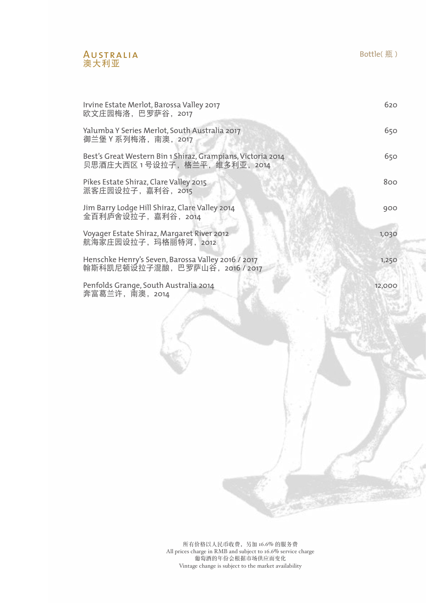

| Irvine Estate Merlot, Barossa Valley 2017<br>欧文庄园梅洛,巴罗萨谷, 2017                              | 620    |
|---------------------------------------------------------------------------------------------|--------|
| Yalumba Y Series Merlot, South Australia 2017<br>御兰堡 Y 系列梅洛,南澳,2017                         | 650    |
| Best's Great Western Bin 1 Shiraz, Grampians, Victoria 2014<br>贝思酒庄大西区 1 号设拉子,格兰平,维多利亚,2014 | 650    |
| Pikes Estate Shiraz, Clare Valley 2015<br>派客庄园设拉子,嘉利谷,2015                                  | 800    |
| Jim Barry Lodge Hill Shiraz, Clare Valley 2014<br>金百利庐舍设拉子,嘉利谷,2014                         | 900    |
| Voyager Estate Shiraz, Margaret River 2012<br>航海家庄园设拉子,玛格丽特河,2012                           | 1,030  |
| Henschke Henry's Seven, Barossa Valley 2016 / 2017<br>翰斯科凯尼顿设拉子混酿,巴罗萨山谷,2016 / 2017         | 1,250  |
| Penfolds Grange, South Australia 2014<br>奔富葛兰许,南澳,2014                                      | 12,000 |
|                                                                                             |        |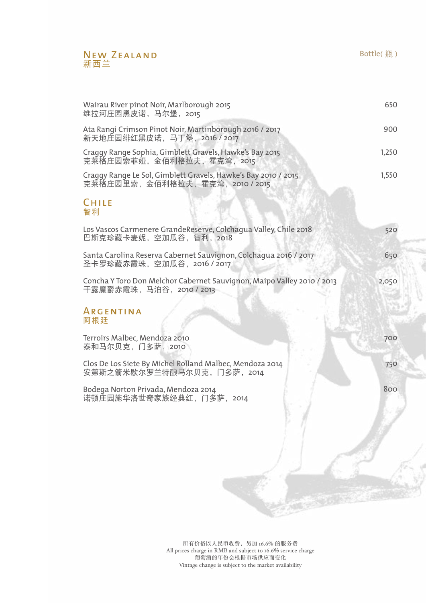#### New ZEALAND 新西兰

| Wairau River pinot Noir, Marlborough 2015<br>维拉河庄园黑皮诺,马尔堡, 2015                                     | 650   |
|-----------------------------------------------------------------------------------------------------|-------|
| Ata Rangi Crimson Pinot Noir, Martinborough 2016 / 2017<br>新天地庄园绯红黑皮诺, 马丁堡, 2016 / 2017             | 900   |
| Craggy Range Sophia, Gimblett Gravels, Hawke's Bay 2015<br>克莱格庄园索菲娅,金佰利格拉夫,霍克湾,2015                 | 1,250 |
| Craggy Range Le Sol, Gimblett Gravels, Hawke's Bay 2010 / 2015<br>克莱格庄园里索,金佰利格拉夫,霍克湾,2010/2015      | 1,550 |
| CHILE<br>智利                                                                                         |       |
| Los Vascos Carmenere GrandeReserve, Colchagua Valley, Chile 2018<br>巴斯克珍藏卡麦妮, 空加瓜谷, 智利, 2018        | 520   |
| Santa Carolina Reserva Cabernet Sauvignon, Colchagua 2016 / 2017<br>圣卡罗珍藏赤霞珠,空加瓜谷,2016 / 2017       | 650   |
| Concha Y Toro Don Melchor Cabernet Sauvignon, Maipo Valley 2010 / 2013<br>干露魔爵赤霞珠, 马泊谷, 2010 / 2013 | 2,050 |
| <b>ARGENTINA</b><br>阿根廷                                                                             |       |
| Terroirs Malbec, Mendoza 2010<br>泰和马尔贝克, 门多萨, 2010                                                  | 700   |
| Clos De Los Siete By Michel Rolland Malbec, Mendoza 2014<br>安第斯之箭米歇尔罗兰特酿马尔贝克, 门多萨, 2014             | 750   |
| Bodega Norton Privada, Mendoza 2014<br>诺顿庄园施华洛世奇家族经典红, 门多萨, 2014                                    | 800   |
|                                                                                                     |       |
|                                                                                                     |       |

所有价格以人民币收费,另加 16.6% 的服务费 All prices charge in RMB and subject to 16.6% service charge 葡萄酒的年份会根据市场供应而变化 Vintage change is subject to the market availability

定期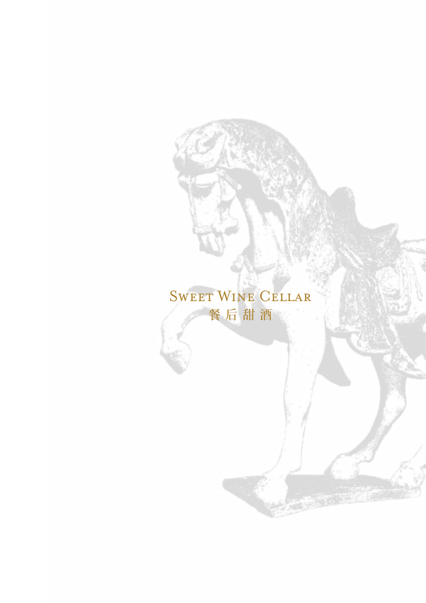## Sweet Wine Cellar 餐 后 甜 酒